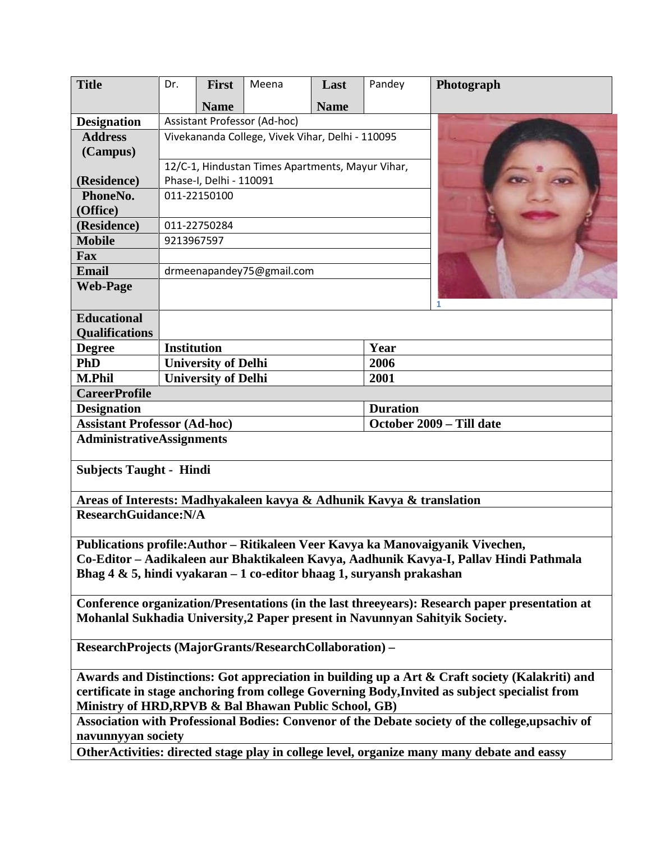| <b>Title</b>                                                                                                                                            | Dr.                                              | <b>First</b> | Meena | Last        | Pandey                   | Photograph                                                                                       |
|---------------------------------------------------------------------------------------------------------------------------------------------------------|--------------------------------------------------|--------------|-------|-------------|--------------------------|--------------------------------------------------------------------------------------------------|
|                                                                                                                                                         |                                                  | <b>Name</b>  |       | <b>Name</b> |                          |                                                                                                  |
| <b>Designation</b>                                                                                                                                      | Assistant Professor (Ad-hoc)                     |              |       |             |                          |                                                                                                  |
| <b>Address</b>                                                                                                                                          | Vivekananda College, Vivek Vihar, Delhi - 110095 |              |       |             |                          |                                                                                                  |
| (Campus)                                                                                                                                                |                                                  |              |       |             |                          |                                                                                                  |
|                                                                                                                                                         | 12/C-1, Hindustan Times Apartments, Mayur Vihar, |              |       |             |                          |                                                                                                  |
| (Residence)                                                                                                                                             | Phase-I, Delhi - 110091                          |              |       |             |                          |                                                                                                  |
| PhoneNo.                                                                                                                                                | 011-22150100                                     |              |       |             |                          |                                                                                                  |
| (Office)                                                                                                                                                |                                                  |              |       |             |                          |                                                                                                  |
| (Residence)                                                                                                                                             | 011-22750284                                     |              |       |             |                          |                                                                                                  |
| <b>Mobile</b>                                                                                                                                           | 9213967597                                       |              |       |             |                          |                                                                                                  |
| <b>Fax</b>                                                                                                                                              |                                                  |              |       |             |                          |                                                                                                  |
| <b>Email</b>                                                                                                                                            | drmeenapandey75@gmail.com                        |              |       |             |                          |                                                                                                  |
| <b>Web-Page</b>                                                                                                                                         |                                                  |              |       |             |                          | 1                                                                                                |
| <b>Educational</b>                                                                                                                                      |                                                  |              |       |             |                          |                                                                                                  |
| <b>Qualifications</b>                                                                                                                                   |                                                  |              |       |             |                          |                                                                                                  |
| <b>Degree</b>                                                                                                                                           | <b>Institution</b>                               |              |       | Year        |                          |                                                                                                  |
| PhD                                                                                                                                                     | <b>University of Delhi</b>                       |              |       |             | 2006                     |                                                                                                  |
| <b>M.Phil</b>                                                                                                                                           | <b>University of Delhi</b>                       |              |       |             | 2001                     |                                                                                                  |
| <b>CareerProfile</b>                                                                                                                                    |                                                  |              |       |             |                          |                                                                                                  |
| <b>Duration</b><br><b>Designation</b>                                                                                                                   |                                                  |              |       |             |                          |                                                                                                  |
| <b>Assistant Professor (Ad-hoc)</b>                                                                                                                     |                                                  |              |       |             | October 2009 - Till date |                                                                                                  |
| <b>AdministrativeAssignments</b>                                                                                                                        |                                                  |              |       |             |                          |                                                                                                  |
| <b>Subjects Taught - Hindi</b>                                                                                                                          |                                                  |              |       |             |                          |                                                                                                  |
| Areas of Interests: Madhyakaleen kavya & Adhunik Kavya & translation                                                                                    |                                                  |              |       |             |                          |                                                                                                  |
| <b>ResearchGuidance:N/A</b>                                                                                                                             |                                                  |              |       |             |                          |                                                                                                  |
| Publications profile: Author – Ritikaleen Veer Kavya ka Manovaigyanik Vivechen,                                                                         |                                                  |              |       |             |                          |                                                                                                  |
| Co-Editor – Aadikaleen aur Bhaktikaleen Kavya, Aadhunik Kavya-I, Pallav Hindi Pathmala                                                                  |                                                  |              |       |             |                          |                                                                                                  |
| Bhag $4 \& 5$ , hindi vyakaran – 1 co-editor bhaag 1, suryansh prakashan                                                                                |                                                  |              |       |             |                          |                                                                                                  |
| Conference organization/Presentations (in the last threeyears): Research paper presentation at                                                          |                                                  |              |       |             |                          |                                                                                                  |
| Mohanlal Sukhadia University, 2 Paper present in Navunnyan Sahityik Society.                                                                            |                                                  |              |       |             |                          |                                                                                                  |
| ResearchProjects (MajorGrants/ResearchCollaboration) -                                                                                                  |                                                  |              |       |             |                          |                                                                                                  |
| Awards and Distinctions: Got appreciation in building up a Art & Craft society (Kalakriti) and                                                          |                                                  |              |       |             |                          |                                                                                                  |
| certificate in stage anchoring from college Governing Body, Invited as subject specialist from<br>Ministry of HRD, RPVB & Bal Bhawan Public School, GB) |                                                  |              |       |             |                          |                                                                                                  |
| navunnyyan society                                                                                                                                      |                                                  |              |       |             |                          | Association with Professional Bodies: Convenor of the Debate society of the college, upsachiv of |
|                                                                                                                                                         |                                                  |              |       |             |                          | OtherActivities: directed stage play in college level, organize many many debate and eassy       |